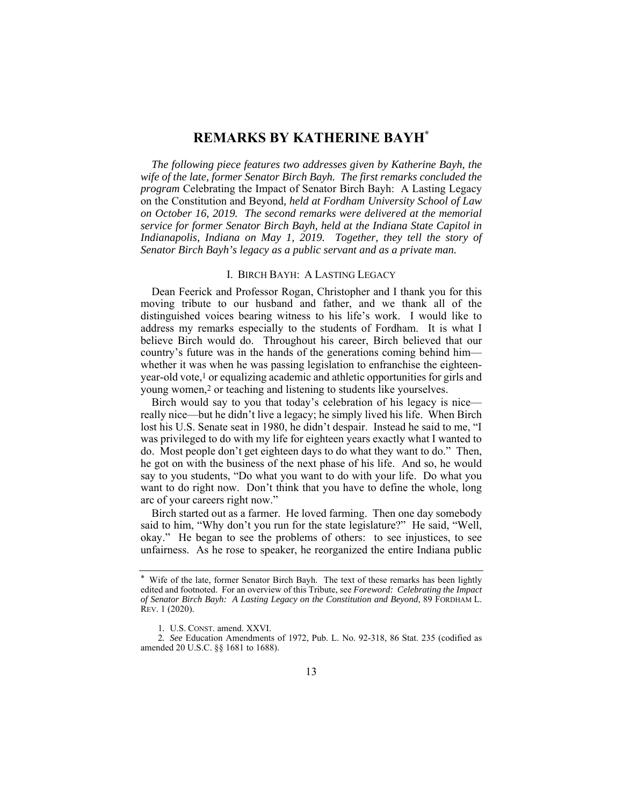## **REMARKS BY KATHERINE BAYH\***

*The following piece features two addresses given by Katherine Bayh, the wife of the late, former Senator Birch Bayh. The first remarks concluded the program* Celebrating the Impact of Senator Birch Bayh: A Lasting Legacy on the Constitution and Beyond*, held at Fordham University School of Law on October 16, 2019. The second remarks were delivered at the memorial service for former Senator Birch Bayh, held at the Indiana State Capitol in Indianapolis, Indiana on May 1, 2019. Together, they tell the story of Senator Birch Bayh's legacy as a public servant and as a private man.* 

## I. BIRCH BAYH: A LASTING LEGACY

Dean Feerick and Professor Rogan, Christopher and I thank you for this moving tribute to our husband and father, and we thank all of the distinguished voices bearing witness to his life's work. I would like to address my remarks especially to the students of Fordham. It is what I believe Birch would do. Throughout his career, Birch believed that our country's future was in the hands of the generations coming behind him whether it was when he was passing legislation to enfranchise the eighteenyear-old vote,1 or equalizing academic and athletic opportunities for girls and young women,2 or teaching and listening to students like yourselves.

Birch would say to you that today's celebration of his legacy is nice really nice—but he didn't live a legacy; he simply lived his life. When Birch lost his U.S. Senate seat in 1980, he didn't despair. Instead he said to me, "I was privileged to do with my life for eighteen years exactly what I wanted to do. Most people don't get eighteen days to do what they want to do." Then, he got on with the business of the next phase of his life. And so, he would say to you students, "Do what you want to do with your life. Do what you want to do right now. Don't think that you have to define the whole, long arc of your careers right now."

Birch started out as a farmer. He loved farming. Then one day somebody said to him, "Why don't you run for the state legislature?" He said, "Well, okay." He began to see the problems of others: to see injustices, to see unfairness. As he rose to speaker, he reorganized the entire Indiana public

Wife of the late, former Senator Birch Bayh. The text of these remarks has been lightly edited and footnoted. For an overview of this Tribute, see *Foreword: Celebrating the Impact of Senator Birch Bayh: A Lasting Legacy on the Constitution and Beyond*, 89 FORDHAM L. REV. 1 (2020).

<sup>1</sup>*.* U.S. CONST. amend. XXVI.

<sup>2</sup>*. See* Education Amendments of 1972, Pub. L. No. 92‑318, 86 Stat. 235 (codified as amended 20 U.S.C. §§ 1681 to 1688).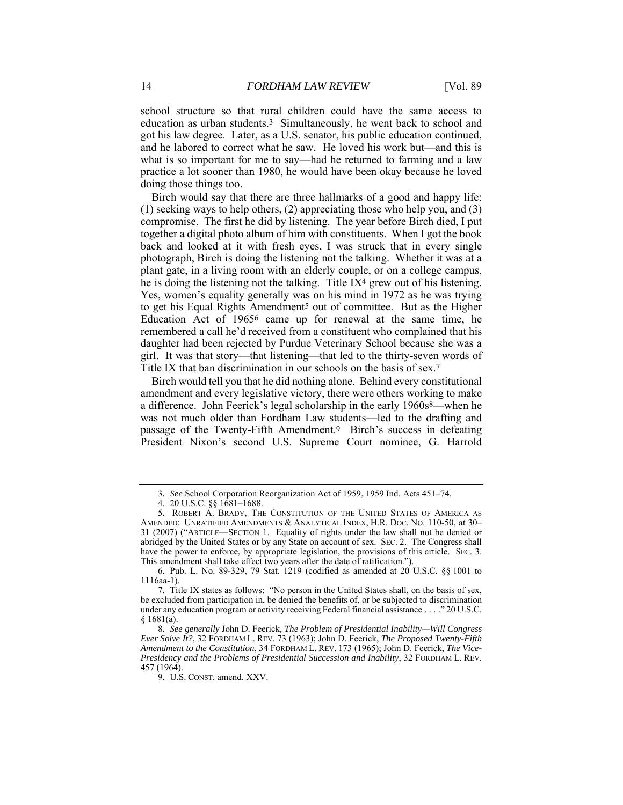school structure so that rural children could have the same access to education as urban students.3 Simultaneously, he went back to school and got his law degree. Later, as a U.S. senator, his public education continued, and he labored to correct what he saw. He loved his work but—and this is what is so important for me to say—had he returned to farming and a law practice a lot sooner than 1980, he would have been okay because he loved doing those things too.

Birch would say that there are three hallmarks of a good and happy life: (1) seeking ways to help others, (2) appreciating those who help you, and (3) compromise. The first he did by listening. The year before Birch died, I put together a digital photo album of him with constituents. When I got the book back and looked at it with fresh eyes, I was struck that in every single photograph, Birch is doing the listening not the talking. Whether it was at a plant gate, in a living room with an elderly couple, or on a college campus, he is doing the listening not the talking. Title IX4 grew out of his listening. Yes, women's equality generally was on his mind in 1972 as he was trying to get his Equal Rights Amendment5 out of committee. But as the Higher Education Act of 19656 came up for renewal at the same time, he remembered a call he'd received from a constituent who complained that his daughter had been rejected by Purdue Veterinary School because she was a girl. It was that story—that listening—that led to the thirty-seven words of Title IX that ban discrimination in our schools on the basis of sex.7

Birch would tell you that he did nothing alone. Behind every constitutional amendment and every legislative victory, there were others working to make a difference. John Feerick's legal scholarship in the early 1960s<sup>8</sup>—when he was not much older than Fordham Law students—led to the drafting and passage of the Twenty-Fifth Amendment.9 Birch's success in defeating President Nixon's second U.S. Supreme Court nominee, G. Harrold

<sup>3</sup>*. See* School Corporation Reorganization Act of 1959, 1959 Ind. Acts 451–74.

 <sup>4. 20</sup> U.S.C. §§ 1681–1688.

 <sup>5.</sup> ROBERT A. BRADY, THE CONSTITUTION OF THE UNITED STATES OF AMERICA AS AMENDED: UNRATIFIED AMENDMENTS & ANALYTICAL INDEX, H.R. DOC. NO. 110-50, at 30– 31 (2007) ("ARTICLE—SECTION 1. Equality of rights under the law shall not be denied or abridged by the United States or by any State on account of sex. SEC. 2. The Congress shall have the power to enforce, by appropriate legislation, the provisions of this article. SEC. 3. This amendment shall take effect two years after the date of ratification.").

 <sup>6.</sup> Pub. L. No. 89-329, 79 Stat. 1219 (codified as amended at 20 U.S.C. §§ 1001 to 1116aa-1).

 <sup>7.</sup> Title IX states as follows: "No person in the United States shall, on the basis of sex, be excluded from participation in, be denied the benefits of, or be subjected to discrimination under any education program or activity receiving Federal financial assistance . . . ." 20 U.S.C. § 1681(a).

<sup>8</sup>*. See generally* John D. Feerick*, The Problem of Presidential Inability—Will Congress Ever Solve It?*, 32 FORDHAM L. REV. 73 (1963); John D. Feerick, *The Proposed Twenty-Fifth Amendment to the Constitution*, 34 FORDHAM L. REV. 173 (1965); John D. Feerick, *The Vice-Presidency and the Problems of Presidential Succession and Inability*, 32 FORDHAM L. REV. 457 (1964).

 <sup>9.</sup> U.S. CONST. amend. XXV.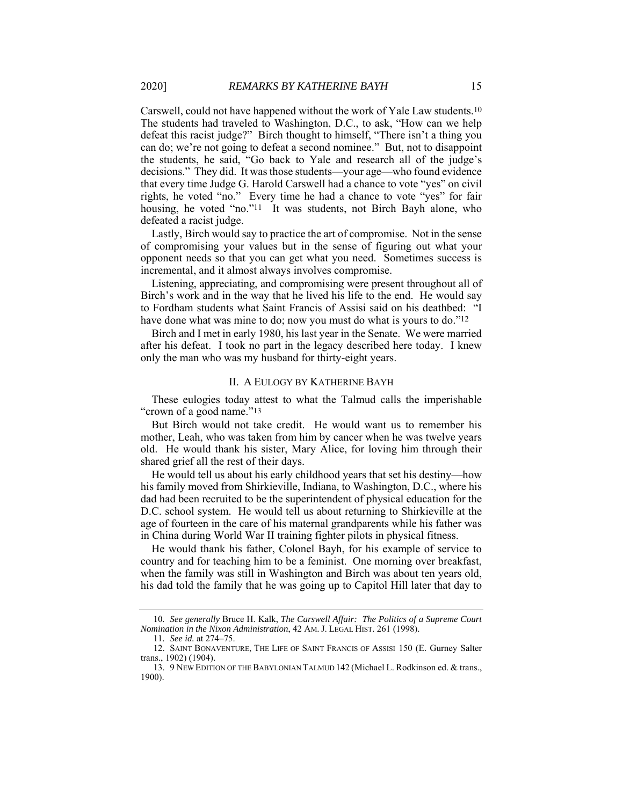Carswell, could not have happened without the work of Yale Law students.10 The students had traveled to Washington, D.C., to ask, "How can we help defeat this racist judge?" Birch thought to himself, "There isn't a thing you can do; we're not going to defeat a second nominee." But, not to disappoint the students, he said, "Go back to Yale and research all of the judge's decisions." They did. It was those students—your age—who found evidence that every time Judge G. Harold Carswell had a chance to vote "yes" on civil rights, he voted "no." Every time he had a chance to vote "yes" for fair housing, he voted "no."<sup>11</sup> It was students, not Birch Bayh alone, who defeated a racist judge.

Lastly, Birch would say to practice the art of compromise. Not in the sense of compromising your values but in the sense of figuring out what your opponent needs so that you can get what you need. Sometimes success is incremental, and it almost always involves compromise.

Listening, appreciating, and compromising were present throughout all of Birch's work and in the way that he lived his life to the end. He would say to Fordham students what Saint Francis of Assisi said on his deathbed: "I have done what was mine to do; now you must do what is yours to do."<sup>12</sup>

Birch and I met in early 1980, his last year in the Senate. We were married after his defeat. I took no part in the legacy described here today. I knew only the man who was my husband for thirty-eight years.

## II. A EULOGY BY KATHERINE BAYH

These eulogies today attest to what the Talmud calls the imperishable "crown of a good name."<sup>13</sup>

But Birch would not take credit. He would want us to remember his mother, Leah, who was taken from him by cancer when he was twelve years old. He would thank his sister, Mary Alice, for loving him through their shared grief all the rest of their days.

He would tell us about his early childhood years that set his destiny—how his family moved from Shirkieville, Indiana, to Washington, D.C., where his dad had been recruited to be the superintendent of physical education for the D.C. school system. He would tell us about returning to Shirkieville at the age of fourteen in the care of his maternal grandparents while his father was in China during World War II training fighter pilots in physical fitness.

He would thank his father, Colonel Bayh, for his example of service to country and for teaching him to be a feminist. One morning over breakfast, when the family was still in Washington and Birch was about ten years old, his dad told the family that he was going up to Capitol Hill later that day to

<sup>10</sup>*. See generally* Bruce H. Kalk, *The Carswell Affair: The Politics of a Supreme Court Nomination in the Nixon Administration*, 42 AM. J. LEGAL HIST. 261 (1998).

<sup>11</sup>*. See id.* at 274–75.

 <sup>12.</sup> SAINT BONAVENTURE, THE LIFE OF SAINT FRANCIS OF ASSISI 150 (E. Gurney Salter trans., 1902) (1904).

 <sup>13. 9</sup> NEW EDITION OF THE BABYLONIAN TALMUD 142 (Michael L. Rodkinson ed. & trans., 1900).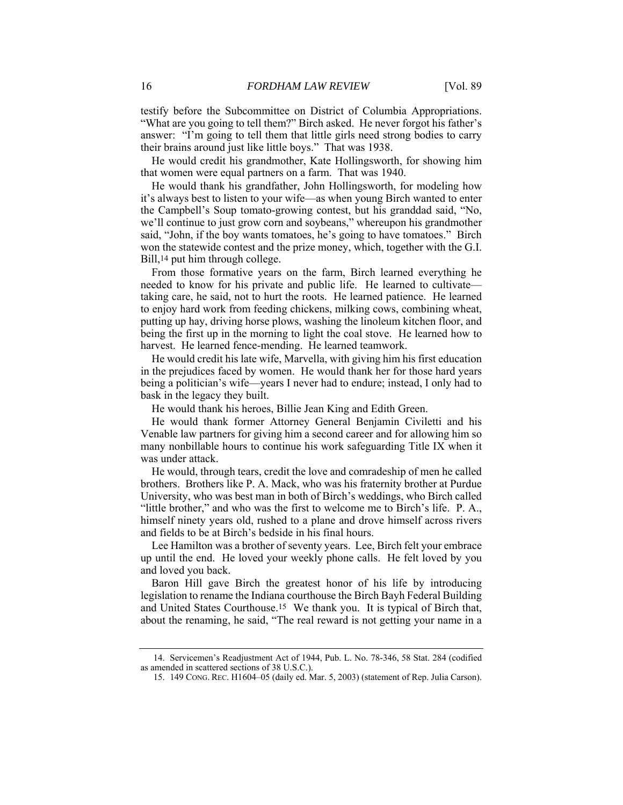testify before the Subcommittee on District of Columbia Appropriations. "What are you going to tell them?" Birch asked. He never forgot his father's answer: "I'm going to tell them that little girls need strong bodies to carry their brains around just like little boys." That was 1938.

He would credit his grandmother, Kate Hollingsworth, for showing him that women were equal partners on a farm. That was 1940.

He would thank his grandfather, John Hollingsworth, for modeling how it's always best to listen to your wife—as when young Birch wanted to enter the Campbell's Soup tomato-growing contest, but his granddad said, "No, we'll continue to just grow corn and soybeans," whereupon his grandmother said, "John, if the boy wants tomatoes, he's going to have tomatoes." Birch won the statewide contest and the prize money, which, together with the G.I. Bill,<sup>14</sup> put him through college.

From those formative years on the farm, Birch learned everything he needed to know for his private and public life. He learned to cultivate taking care, he said, not to hurt the roots. He learned patience. He learned to enjoy hard work from feeding chickens, milking cows, combining wheat, putting up hay, driving horse plows, washing the linoleum kitchen floor, and being the first up in the morning to light the coal stove. He learned how to harvest. He learned fence-mending. He learned teamwork.

He would credit his late wife, Marvella, with giving him his first education in the prejudices faced by women. He would thank her for those hard years being a politician's wife—years I never had to endure; instead, I only had to bask in the legacy they built.

He would thank his heroes, Billie Jean King and Edith Green.

He would thank former Attorney General Benjamin Civiletti and his Venable law partners for giving him a second career and for allowing him so many nonbillable hours to continue his work safeguarding Title IX when it was under attack.

He would, through tears, credit the love and comradeship of men he called brothers. Brothers like P. A. Mack, who was his fraternity brother at Purdue University, who was best man in both of Birch's weddings, who Birch called "little brother," and who was the first to welcome me to Birch's life. P. A., himself ninety years old, rushed to a plane and drove himself across rivers and fields to be at Birch's bedside in his final hours.

Lee Hamilton was a brother of seventy years. Lee, Birch felt your embrace up until the end. He loved your weekly phone calls. He felt loved by you and loved you back.

Baron Hill gave Birch the greatest honor of his life by introducing legislation to rename the Indiana courthouse the Birch Bayh Federal Building and United States Courthouse.15 We thank you. It is typical of Birch that, about the renaming, he said, "The real reward is not getting your name in a

 <sup>14.</sup> Servicemen's Readjustment Act of 1944, Pub. L. No. 78-346, 58 Stat. 284 (codified as amended in scattered sections of 38 U.S.C.).

 <sup>15. 149</sup> CONG. REC. H1604–05 (daily ed. Mar. 5, 2003) (statement of Rep. Julia Carson).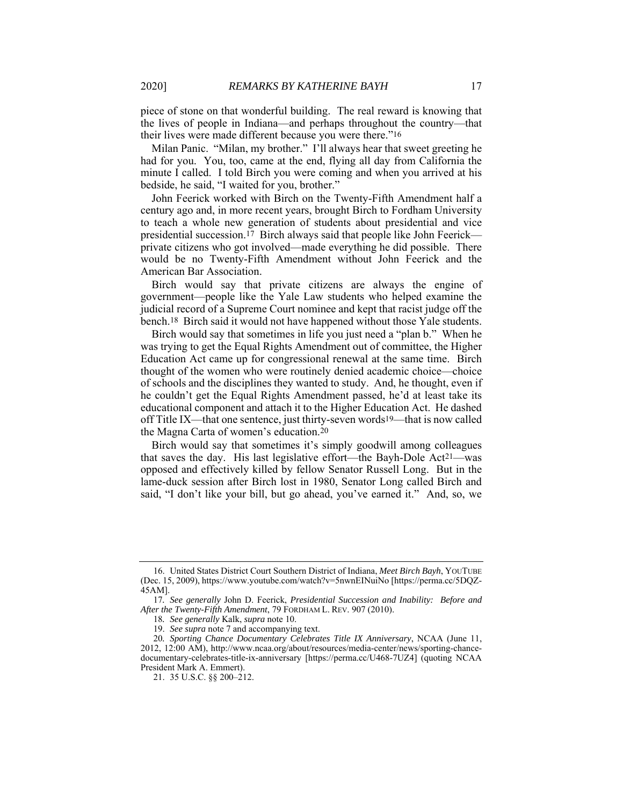piece of stone on that wonderful building. The real reward is knowing that the lives of people in Indiana—and perhaps throughout the country—that their lives were made different because you were there."16

Milan Panic. "Milan, my brother." I'll always hear that sweet greeting he had for you. You, too, came at the end, flying all day from California the minute I called. I told Birch you were coming and when you arrived at his bedside, he said, "I waited for you, brother."

John Feerick worked with Birch on the Twenty-Fifth Amendment half a century ago and, in more recent years, brought Birch to Fordham University to teach a whole new generation of students about presidential and vice presidential succession.17 Birch always said that people like John Feerick private citizens who got involved—made everything he did possible. There would be no Twenty-Fifth Amendment without John Feerick and the American Bar Association.

Birch would say that private citizens are always the engine of government—people like the Yale Law students who helped examine the judicial record of a Supreme Court nominee and kept that racist judge off the bench.18 Birch said it would not have happened without those Yale students.

Birch would say that sometimes in life you just need a "plan b." When he was trying to get the Equal Rights Amendment out of committee, the Higher Education Act came up for congressional renewal at the same time. Birch thought of the women who were routinely denied academic choice—choice of schools and the disciplines they wanted to study. And, he thought, even if he couldn't get the Equal Rights Amendment passed, he'd at least take its educational component and attach it to the Higher Education Act. He dashed off Title IX—that one sentence, just thirty-seven words19—that is now called the Magna Carta of women's education.20

Birch would say that sometimes it's simply goodwill among colleagues that saves the day. His last legislative effort—the Bayh-Dole Act21—was opposed and effectively killed by fellow Senator Russell Long. But in the lame-duck session after Birch lost in 1980, Senator Long called Birch and said, "I don't like your bill, but go ahead, you've earned it." And, so, we

 <sup>16.</sup> United States District Court Southern District of Indiana, *Meet Birch Bayh*, YOUTUBE (Dec. 15, 2009), https://www.youtube.com/watch?v=5nwnEINuiNo [https://perma.cc/5DQZ-45AM].

<sup>17</sup>*. See generally* John D. Feerick, *Presidential Succession and Inability: Before and After the Twenty-Fifth Amendment*, 79 FORDHAM L. REV. 907 (2010).

<sup>18</sup>*. See generally* Kalk, *supra* note 10.

 <sup>19.</sup> *See supra* note 7 and accompanying text.

<sup>20</sup>*. Sporting Chance Documentary Celebrates Title IX Anniversary*, NCAA (June 11, 2012, 12:00 AM), http://www.ncaa.org/about/resources/media-center/news/sporting-chancedocumentary-celebrates-title-ix-anniversary [https://perma.cc/U468-7UZ4] (quoting NCAA President Mark A. Emmert).

 <sup>21. 35</sup> U.S.C. §§ 200–212.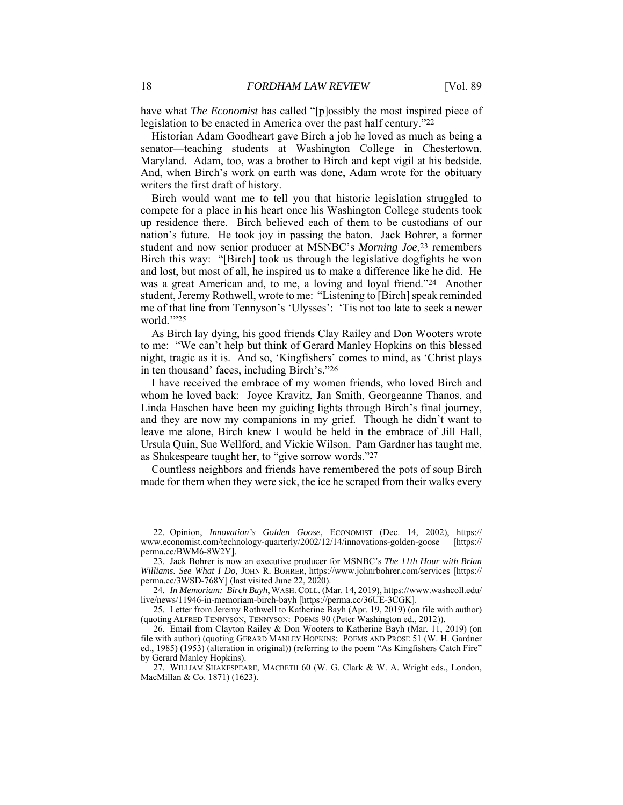have what *The Economist* has called "[p]ossibly the most inspired piece of legislation to be enacted in America over the past half century."22

Historian Adam Goodheart gave Birch a job he loved as much as being a senator—teaching students at Washington College in Chestertown, Maryland. Adam, too, was a brother to Birch and kept vigil at his bedside. And, when Birch's work on earth was done, Adam wrote for the obituary writers the first draft of history.

Birch would want me to tell you that historic legislation struggled to compete for a place in his heart once his Washington College students took up residence there. Birch believed each of them to be custodians of our nation's future. He took joy in passing the baton. Jack Bohrer, a former student and now senior producer at MSNBC's *Morning Joe*,23 remembers Birch this way: "[Birch] took us through the legislative dogfights he won and lost, but most of all, he inspired us to make a difference like he did. He was a great American and, to me, a loving and loyal friend."24 Another student, Jeremy Rothwell, wrote to me: "Listening to [Birch] speak reminded me of that line from Tennyson's 'Ulysses': 'Tis not too late to seek a newer world.'"25

As Birch lay dying, his good friends Clay Railey and Don Wooters wrote to me: "We can't help but think of Gerard Manley Hopkins on this blessed night, tragic as it is. And so, 'Kingfishers' comes to mind, as 'Christ plays in ten thousand' faces, including Birch's."26

I have received the embrace of my women friends, who loved Birch and whom he loved back: Joyce Kravitz, Jan Smith, Georgeanne Thanos, and Linda Haschen have been my guiding lights through Birch's final journey, and they are now my companions in my grief. Though he didn't want to leave me alone, Birch knew I would be held in the embrace of Jill Hall, Ursula Quin, Sue Wellford, and Vickie Wilson. Pam Gardner has taught me, as Shakespeare taught her, to "give sorrow words."27

Countless neighbors and friends have remembered the pots of soup Birch made for them when they were sick, the ice he scraped from their walks every

 <sup>22.</sup> Opinion, *Innovation's Golden Goose*, ECONOMIST (Dec. 14, 2002), https:// www.economist.com/technology-quarterly/2002/12/14/innovations-golden-goose [https:// perma.cc/BWM6-8W2Y].

 <sup>23.</sup> Jack Bohrer is now an executive producer for MSNBC's *The 11th Hour with Brian Williams*. *See What I Do*, JOHN R. BOHRER, https://www.johnrbohrer.com/services [https:// perma.cc/3WSD-768Y] (last visited June 22, 2020).

<sup>24</sup>*. In Memoriam: Birch Bayh*, WASH.COLL. (Mar. 14, 2019), https://www.washcoll.edu/ live/news/11946-in-memoriam-birch-bayh [https://perma.cc/36UE-3CGK].

 <sup>25.</sup> Letter from Jeremy Rothwell to Katherine Bayh (Apr. 19, 2019) (on file with author) (quoting ALFRED TENNYSON, TENNYSON: POEMS 90 (Peter Washington ed., 2012)).

 <sup>26.</sup> Email from Clayton Railey & Don Wooters to Katherine Bayh (Mar. 11, 2019) (on file with author) (quoting GERARD MANLEY HOPKINS: POEMS AND PROSE 51 (W. H. Gardner ed., 1985) (1953) (alteration in original)) (referring to the poem "As Kingfishers Catch Fire" by Gerard Manley Hopkins).

 <sup>27.</sup> WILLIAM SHAKESPEARE, MACBETH 60 (W. G. Clark & W. A. Wright eds., London, MacMillan & Co. 1871) (1623).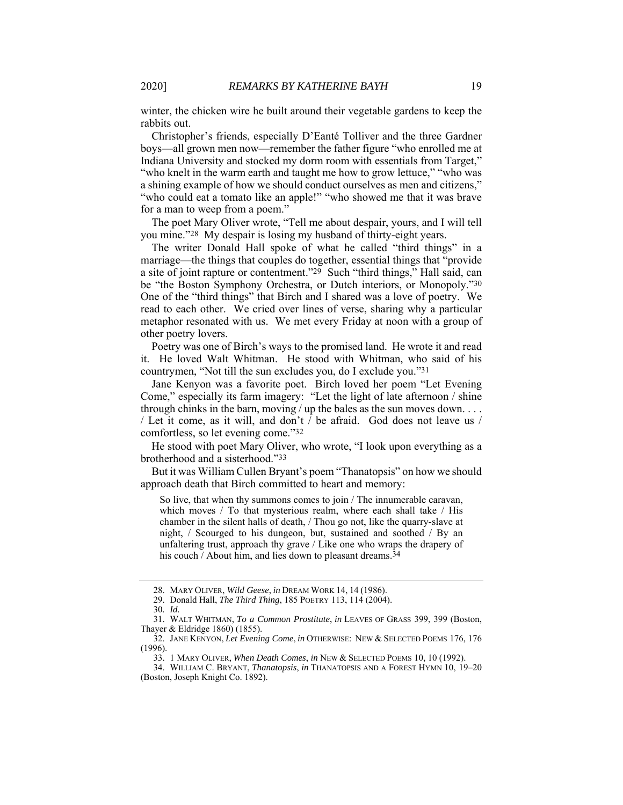winter, the chicken wire he built around their vegetable gardens to keep the rabbits out.

Christopher's friends, especially D'Eanté Tolliver and the three Gardner boys—all grown men now—remember the father figure "who enrolled me at Indiana University and stocked my dorm room with essentials from Target," "who knelt in the warm earth and taught me how to grow lettuce," "who was a shining example of how we should conduct ourselves as men and citizens," "who could eat a tomato like an apple!" "who showed me that it was brave for a man to weep from a poem."

The poet Mary Oliver wrote, "Tell me about despair, yours, and I will tell you mine."28 My despair is losing my husband of thirty-eight years.

The writer Donald Hall spoke of what he called "third things" in a marriage—the things that couples do together, essential things that "provide a site of joint rapture or contentment."29 Such "third things," Hall said, can be "the Boston Symphony Orchestra, or Dutch interiors, or Monopoly."30 One of the "third things" that Birch and I shared was a love of poetry. We read to each other. We cried over lines of verse, sharing why a particular metaphor resonated with us. We met every Friday at noon with a group of other poetry lovers.

Poetry was one of Birch's ways to the promised land. He wrote it and read it. He loved Walt Whitman. He stood with Whitman, who said of his countrymen, "Not till the sun excludes you, do I exclude you."31

Jane Kenyon was a favorite poet. Birch loved her poem "Let Evening Come," especially its farm imagery: "Let the light of late afternoon / shine through chinks in the barn, moving / up the bales as the sun moves down.  $\dots$ / Let it come, as it will, and don't / be afraid. God does not leave us / comfortless, so let evening come."32

He stood with poet Mary Oliver, who wrote, "I look upon everything as a brotherhood and a sisterhood."33

But it was William Cullen Bryant's poem "Thanatopsis" on how we should approach death that Birch committed to heart and memory:

So live, that when thy summons comes to join / The innumerable caravan, which moves / To that mysterious realm, where each shall take / His chamber in the silent halls of death, / Thou go not, like the quarry-slave at night, / Scourged to his dungeon, but, sustained and soothed / By an unfaltering trust, approach thy grave / Like one who wraps the drapery of his couch / About him, and lies down to pleasant dreams.<sup>34</sup>

 <sup>28.</sup> MARY OLIVER, *Wild Geese*, *in* DREAM WORK 14, 14 (1986).

 <sup>29.</sup> Donald Hall, *The Third Thing*, 185 POETRY 113, 114 (2004).

<sup>30</sup>*. Id.*

 <sup>31.</sup> WALT WHITMAN, *To a Common Prostitute*, *in* LEAVES OF GRASS 399, 399 (Boston, Thayer & Eldridge 1860) (1855).

 <sup>32.</sup> JANE KENYON, *Let Evening Come*, *in* OTHERWISE: NEW & SELECTED POEMS 176, 176 (1996).

 <sup>33. 1</sup> MARY OLIVER, *When Death Comes*, *in* NEW & SELECTED POEMS 10, 10 (1992).

 <sup>34.</sup> WILLIAM C. BRYANT, *Thanatopsis*, *in* THANATOPSIS AND A FOREST HYMN 10, 19–20 (Boston, Joseph Knight Co. 1892).